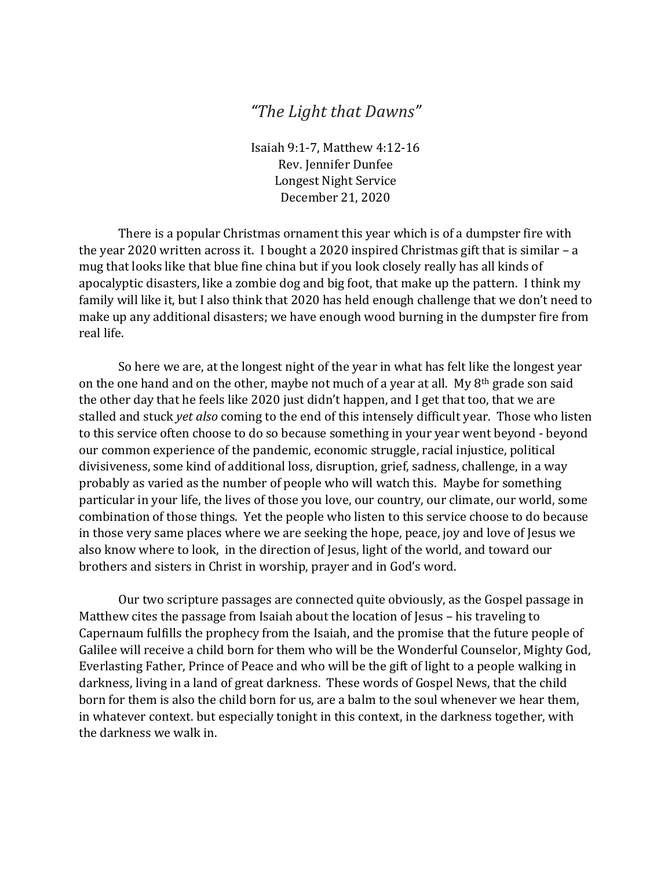## *"The Light that Dawns"*

Isaiah 9:1-7, Matthew 4:12-16 Rev. Jennifer Dunfee Longest Night Service December 21, 2020

There is a popular Christmas ornament this year which is of a dumpster fire with the year 2020 written across it. I bought a 2020 inspired Christmas gift that is similar – a mug that looks like that blue fine china but if you look closely really has all kinds of apocalyptic disasters, like a zombie dog and big foot, that make up the pattern. I think my family will like it, but I also think that 2020 has held enough challenge that we don't need to make up any additional disasters; we have enough wood burning in the dumpster fire from real life.

So here we are, at the longest night of the year in what has felt like the longest year on the one hand and on the other, maybe not much of a year at all. My 8th grade son said the other day that he feels like 2020 just didn't happen, and I get that too, that we are stalled and stuck *yet also* coming to the end of this intensely difficult year. Those who listen to this service often choose to do so because something in your year went beyond - beyond our common experience of the pandemic, economic struggle, racial injustice, political divisiveness, some kind of additional loss, disruption, grief, sadness, challenge, in a way probably as varied as the number of people who will watch this. Maybe for something particular in your life, the lives of those you love, our country, our climate, our world, some combination of those things. Yet the people who listen to this service choose to do because in those very same places where we are seeking the hope, peace, joy and love of Jesus we also know where to look, in the direction of Jesus, light of the world, and toward our brothers and sisters in Christ in worship, prayer and in God's word.

Our two scripture passages are connected quite obviously, as the Gospel passage in Matthew cites the passage from Isaiah about the location of Jesus – his traveling to Capernaum fulfills the prophecy from the Isaiah, and the promise that the future people of Galilee will receive a child born for them who will be the Wonderful Counselor, Mighty God, Everlasting Father, Prince of Peace and who will be the gift of light to a people walking in darkness, living in a land of great darkness. These words of Gospel News, that the child born for them is also the child born for us, are a balm to the soul whenever we hear them, in whatever context. but especially tonight in this context, in the darkness together, with the darkness we walk in.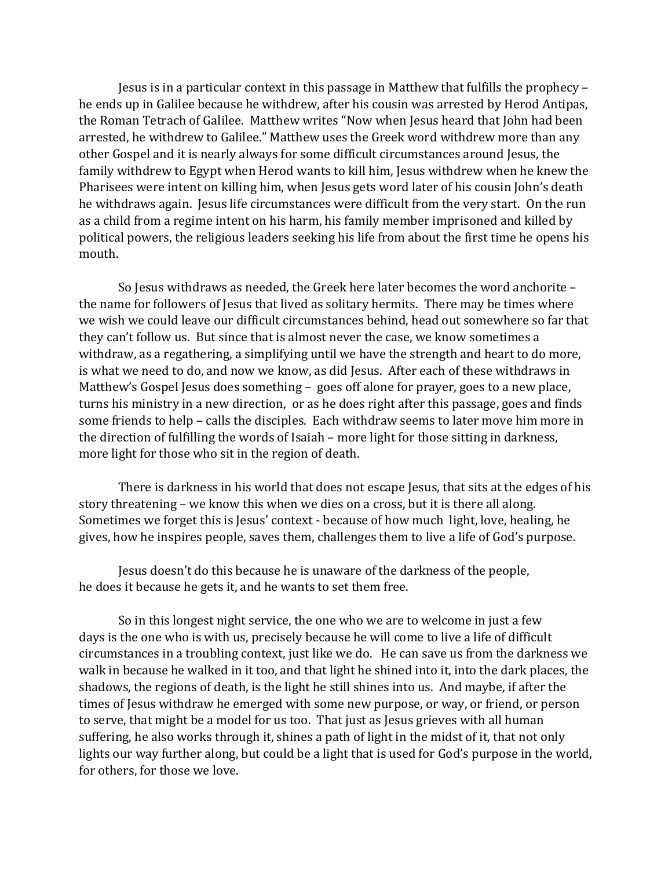Jesus is in a particular context in this passage in Matthew that fulfills the prophecy – he ends up in Galilee because he withdrew, after his cousin was arrested by Herod Antipas, the Roman Tetrach of Galilee. Matthew writes "Now when Jesus heard that John had been arrested, he withdrew to Galilee." Matthew uses the Greek word withdrew more than any other Gospel and it is nearly always for some difficult circumstances around Jesus, the family withdrew to Egypt when Herod wants to kill him, Jesus withdrew when he knew the Pharisees were intent on killing him, when Jesus gets word later of his cousin John's death he withdraws again. Jesus life circumstances were difficult from the very start. On the run as a child from a regime intent on his harm, his family member imprisoned and killed by political powers, the religious leaders seeking his life from about the first time he opens his mouth.

So Jesus withdraws as needed, the Greek here later becomes the word anchorite – the name for followers of Jesus that lived as solitary hermits. There may be times where we wish we could leave our difficult circumstances behind, head out somewhere so far that they can't follow us. But since that is almost never the case, we know sometimes a withdraw, as a regathering, a simplifying until we have the strength and heart to do more, is what we need to do, and now we know, as did Jesus. After each of these withdraws in Matthew's Gospel Jesus does something – goes off alone for prayer, goes to a new place, turns his ministry in a new direction, or as he does right after this passage, goes and finds some friends to help – calls the disciples. Each withdraw seems to later move him more in the direction of fulfilling the words of Isaiah – more light for those sitting in darkness, more light for those who sit in the region of death.

There is darkness in his world that does not escape Jesus, that sits at the edges of his story threatening – we know this when we dies on a cross, but it is there all along. Sometimes we forget this is Jesus' context - because of how much light, love, healing, he gives, how he inspires people, saves them, challenges them to live a life of God's purpose.

Jesus doesn't do this because he is unaware of the darkness of the people, he does it because he gets it, and he wants to set them free.

So in this longest night service, the one who we are to welcome in just a few days is the one who is with us, precisely because he will come to live a life of difficult circumstances in a troubling context, just like we do. He can save us from the darkness we walk in because he walked in it too, and that light he shined into it, into the dark places, the shadows, the regions of death, is the light he still shines into us. And maybe, if after the times of Jesus withdraw he emerged with some new purpose, or way, or friend, or person to serve, that might be a model for us too. That just as Jesus grieves with all human suffering, he also works through it, shines a path of light in the midst of it, that not only lights our way further along, but could be a light that is used for God's purpose in the world, for others, for those we love.